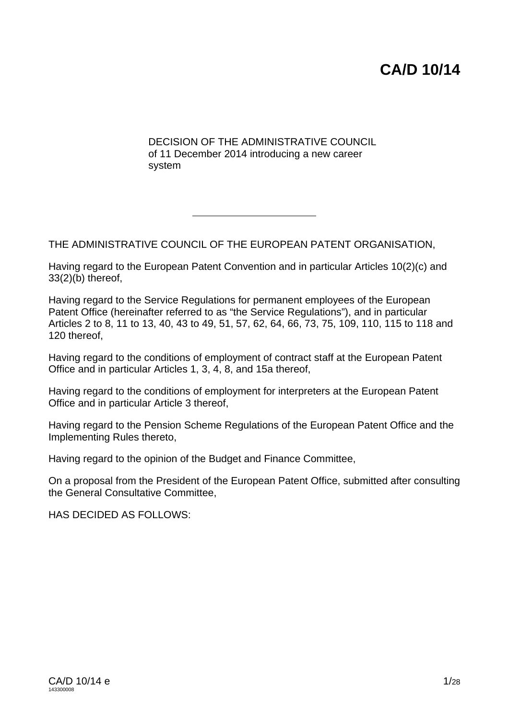# **CA/D 10/14**

DECISION OF THE ADMINISTRATIVE COUNCIL of 11 December 2014 introducing a new career system

THE ADMINISTRATIVE COUNCIL OF THE EUROPEAN PATENT ORGANISATION,

Having regard to the European Patent Convention and in particular Articles 10(2)(c) and 33(2)(b) thereof,

Having regard to the Service Regulations for permanent employees of the European Patent Office (hereinafter referred to as "the Service Regulations"), and in particular Articles 2 to 8, 11 to 13, 40, 43 to 49, 51, 57, 62, 64, 66, 73, 75, 109, 110, 115 to 118 and 120 thereof,

Having regard to the conditions of employment of contract staff at the European Patent Office and in particular Articles 1, 3, 4, 8, and 15a thereof,

Having regard to the conditions of employment for interpreters at the European Patent Office and in particular Article 3 thereof,

Having regard to the Pension Scheme Regulations of the European Patent Office and the Implementing Rules thereto,

Having regard to the opinion of the Budget and Finance Committee,

On a proposal from the President of the European Patent Office, submitted after consulting the General Consultative Committee,

HAS DECIDED AS FOLLOWS: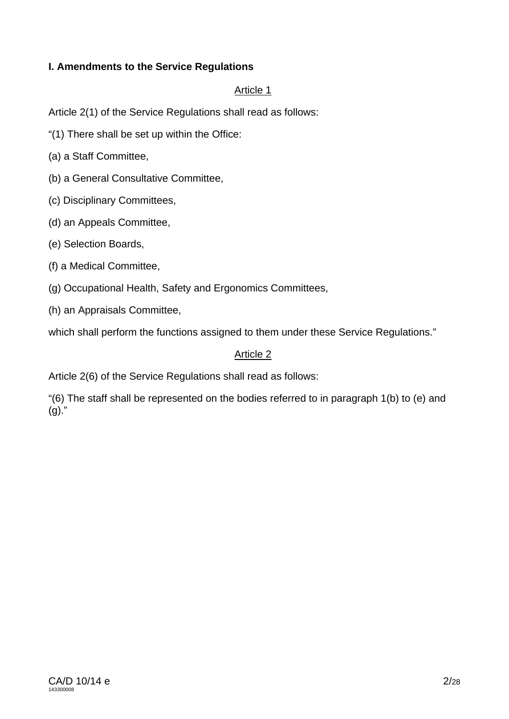## **I. Amendments to the Service Regulations**

## Article 1

Article 2(1) of the Service Regulations shall read as follows:

"(1) There shall be set up within the Office:

(a) a Staff Committee,

(b) a General Consultative Committee,

(c) Disciplinary Committees,

(d) an Appeals Committee,

(e) Selection Boards,

(f) a Medical Committee,

(g) Occupational Health, Safety and Ergonomics Committees,

(h) an Appraisals Committee,

which shall perform the functions assigned to them under these Service Regulations."

## Article 2

Article 2(6) of the Service Regulations shall read as follows:

"(6) The staff shall be represented on the bodies referred to in paragraph 1(b) to (e) and  $(g)$ ."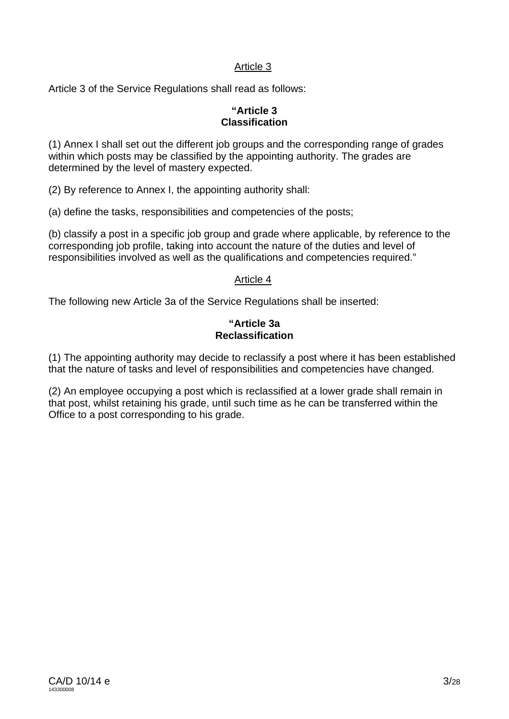Article 3 of the Service Regulations shall read as follows:

#### **"Article 3 Classification**

(1) Annex I shall set out the different job groups and the corresponding range of grades within which posts may be classified by the appointing authority. The grades are determined by the level of mastery expected.

(2) By reference to Annex I, the appointing authority shall:

(a) define the tasks, responsibilities and competencies of the posts;

(b) classify a post in a specific job group and grade where applicable, by reference to the corresponding job profile, taking into account the nature of the duties and level of responsibilities involved as well as the qualifications and competencies required."

## Article 4

The following new Article 3a of the Service Regulations shall be inserted:

#### **"Article 3a Reclassification**

(1) The appointing authority may decide to reclassify a post where it has been established that the nature of tasks and level of responsibilities and competencies have changed.

(2) An employee occupying a post which is reclassified at a lower grade shall remain in that post, whilst retaining his grade, until such time as he can be transferred within the Office to a post corresponding to his grade.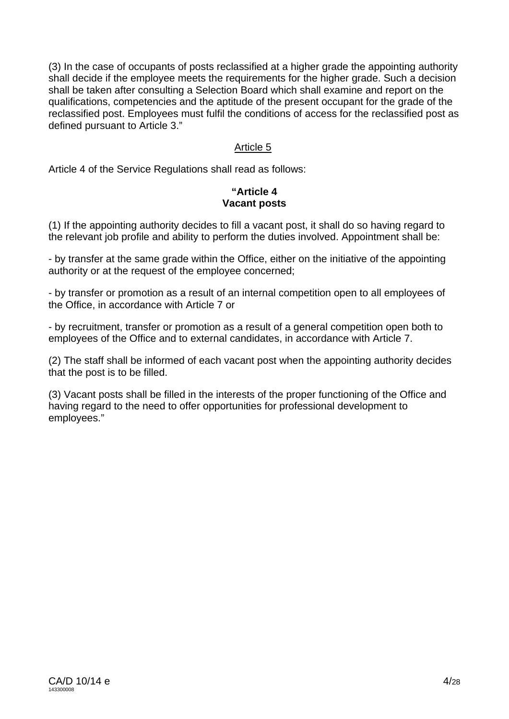(3) In the case of occupants of posts reclassified at a higher grade the appointing authority shall decide if the employee meets the requirements for the higher grade. Such a decision shall be taken after consulting a Selection Board which shall examine and report on the qualifications, competencies and the aptitude of the present occupant for the grade of the reclassified post. Employees must fulfil the conditions of access for the reclassified post as defined pursuant to Article 3."

## Article 5

Article 4 of the Service Regulations shall read as follows:

## **"Article 4 Vacant posts**

(1) If the appointing authority decides to fill a vacant post, it shall do so having regard to the relevant job profile and ability to perform the duties involved. Appointment shall be:

- by transfer at the same grade within the Office, either on the initiative of the appointing authority or at the request of the employee concerned;

- by transfer or promotion as a result of an internal competition open to all employees of the Office, in accordance with Article 7 or

- by recruitment, transfer or promotion as a result of a general competition open both to employees of the Office and to external candidates, in accordance with Article 7.

(2) The staff shall be informed of each vacant post when the appointing authority decides that the post is to be filled.

(3) Vacant posts shall be filled in the interests of the proper functioning of the Office and having regard to the need to offer opportunities for professional development to employees."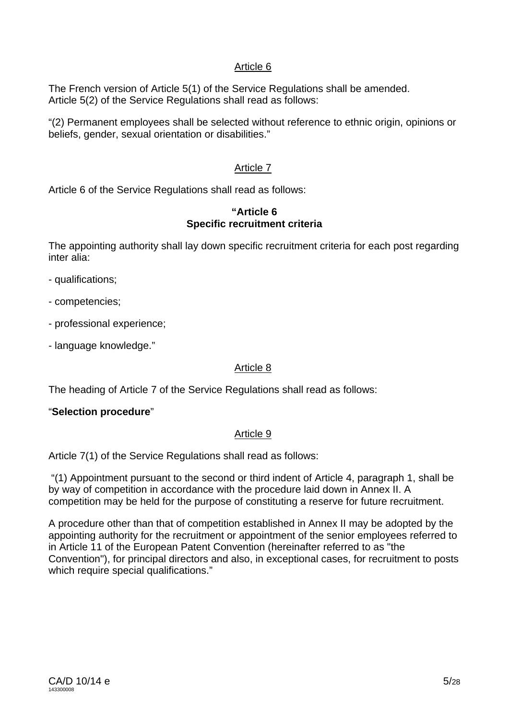The French version of Article 5(1) of the Service Regulations shall be amended. Article 5(2) of the Service Regulations shall read as follows:

"(2) Permanent employees shall be selected without reference to ethnic origin, opinions or beliefs, gender, sexual orientation or disabilities."

## Article 7

Article 6 of the Service Regulations shall read as follows:

#### **"Article 6 Specific recruitment criteria**

The appointing authority shall lay down specific recruitment criteria for each post regarding inter alia:

- qualifications;
- competencies;
- professional experience;
- language knowledge."

## Article 8

The heading of Article 7 of the Service Regulations shall read as follows:

## "**Selection procedure**"

## Article 9

Article 7(1) of the Service Regulations shall read as follows:

"(1) Appointment pursuant to the second or third indent of Article 4, paragraph 1, shall be by way of competition in accordance with the procedure laid down in Annex II. A competition may be held for the purpose of constituting a reserve for future recruitment.

A procedure other than that of competition established in Annex II may be adopted by the appointing authority for the recruitment or appointment of the senior employees referred to in Article 11 of the European Patent Convention (hereinafter referred to as "the Convention"), for principal directors and also, in exceptional cases, for recruitment to posts which require special qualifications."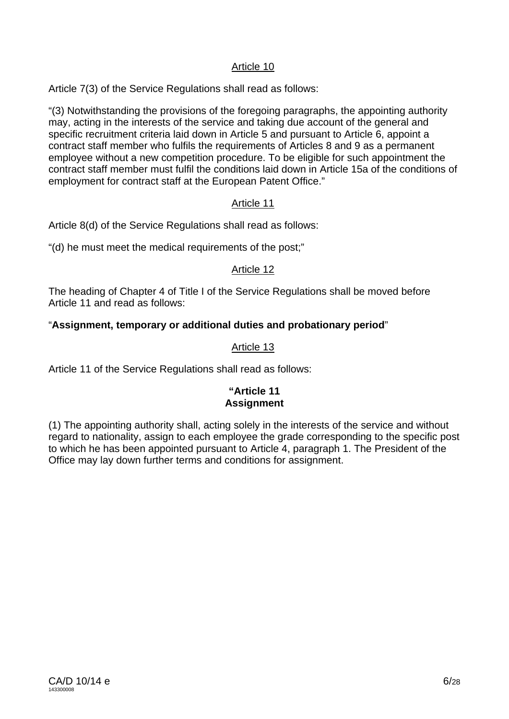Article 7(3) of the Service Regulations shall read as follows:

"(3) Notwithstanding the provisions of the foregoing paragraphs, the appointing authority may, acting in the interests of the service and taking due account of the general and specific recruitment criteria laid down in Article 5 and pursuant to Article 6, appoint a contract staff member who fulfils the requirements of Articles 8 and 9 as a permanent employee without a new competition procedure. To be eligible for such appointment the contract staff member must fulfil the conditions laid down in Article 15a of the conditions of employment for contract staff at the European Patent Office."

## Article 11

Article 8(d) of the Service Regulations shall read as follows:

"(d) he must meet the medical requirements of the post;"

## Article 12

The heading of Chapter 4 of Title I of the Service Regulations shall be moved before Article 11 and read as follows:

## "**Assignment, temporary or additional duties and probationary period**"

## Article 13

Article 11 of the Service Regulations shall read as follows:

## **"Article 11 Assignment**

(1) The appointing authority shall, acting solely in the interests of the service and without regard to nationality, assign to each employee the grade corresponding to the specific post to which he has been appointed pursuant to Article 4, paragraph 1. The President of the Office may lay down further terms and conditions for assignment.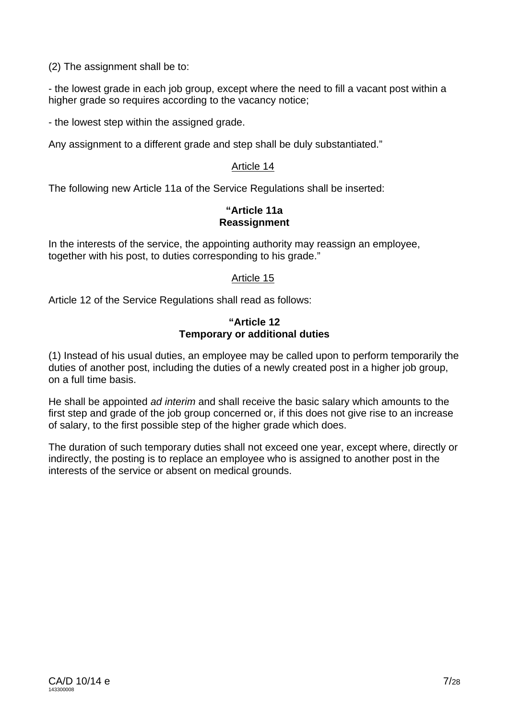(2) The assignment shall be to:

- the lowest grade in each job group, except where the need to fill a vacant post within a higher grade so requires according to the vacancy notice;

- the lowest step within the assigned grade.

Any assignment to a different grade and step shall be duly substantiated."

#### Article 14

The following new Article 11a of the Service Regulations shall be inserted:

## **"Article 11a Reassignment**

In the interests of the service, the appointing authority may reassign an employee, together with his post, to duties corresponding to his grade."

## Article 15

Article 12 of the Service Regulations shall read as follows:

#### **"Article 12 Temporary or additional duties**

(1) Instead of his usual duties, an employee may be called upon to perform temporarily the duties of another post, including the duties of a newly created post in a higher job group, on a full time basis.

He shall be appointed *ad interim* and shall receive the basic salary which amounts to the first step and grade of the job group concerned or, if this does not give rise to an increase of salary, to the first possible step of the higher grade which does.

The duration of such temporary duties shall not exceed one year, except where, directly or indirectly, the posting is to replace an employee who is assigned to another post in the interests of the service or absent on medical grounds.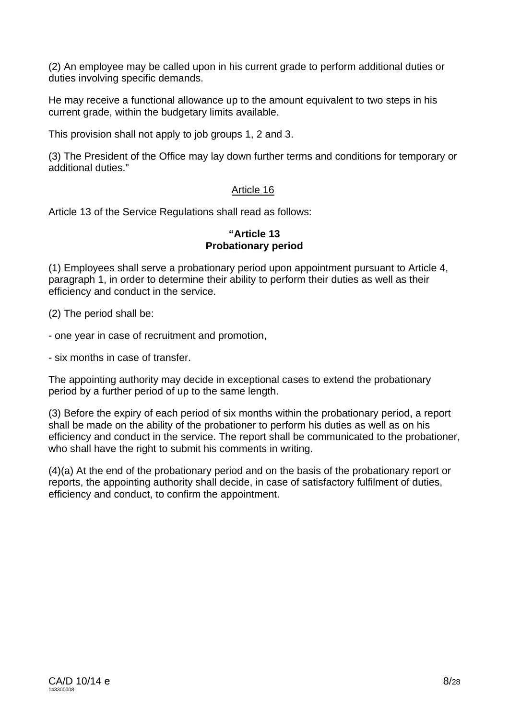(2) An employee may be called upon in his current grade to perform additional duties or duties involving specific demands.

He may receive a functional allowance up to the amount equivalent to two steps in his current grade, within the budgetary limits available.

This provision shall not apply to job groups 1, 2 and 3.

(3) The President of the Office may lay down further terms and conditions for temporary or additional duties."

## Article 16

Article 13 of the Service Regulations shall read as follows:

#### **"Article 13 Probationary period**

(1) Employees shall serve a probationary period upon appointment pursuant to Article 4, paragraph 1, in order to determine their ability to perform their duties as well as their efficiency and conduct in the service.

(2) The period shall be:

- one year in case of recruitment and promotion,

- six months in case of transfer.

The appointing authority may decide in exceptional cases to extend the probationary period by a further period of up to the same length.

(3) Before the expiry of each period of six months within the probationary period, a report shall be made on the ability of the probationer to perform his duties as well as on his efficiency and conduct in the service. The report shall be communicated to the probationer, who shall have the right to submit his comments in writing.

(4)(a) At the end of the probationary period and on the basis of the probationary report or reports, the appointing authority shall decide, in case of satisfactory fulfilment of duties, efficiency and conduct, to confirm the appointment.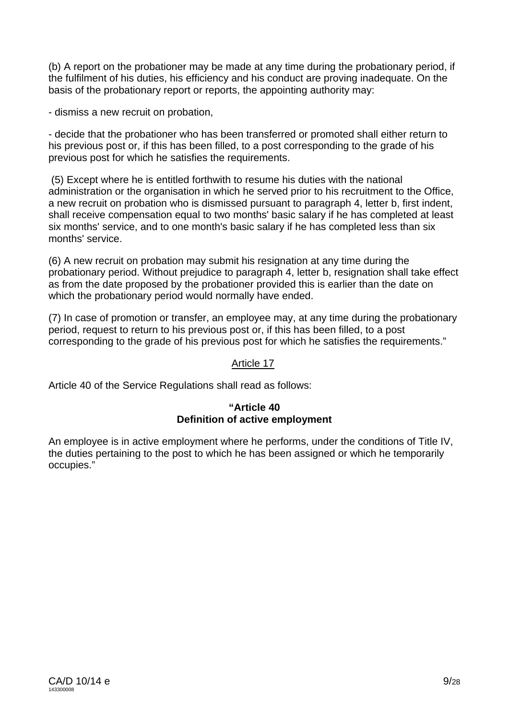(b) A report on the probationer may be made at any time during the probationary period, if the fulfilment of his duties, his efficiency and his conduct are proving inadequate. On the basis of the probationary report or reports, the appointing authority may:

- dismiss a new recruit on probation,

- decide that the probationer who has been transferred or promoted shall either return to his previous post or, if this has been filled, to a post corresponding to the grade of his previous post for which he satisfies the requirements.

 (5) Except where he is entitled forthwith to resume his duties with the national administration or the organisation in which he served prior to his recruitment to the Office, a new recruit on probation who is dismissed pursuant to paragraph 4, letter b, first indent, shall receive compensation equal to two months' basic salary if he has completed at least six months' service, and to one month's basic salary if he has completed less than six months' service.

(6) A new recruit on probation may submit his resignation at any time during the probationary period. Without prejudice to paragraph 4, letter b, resignation shall take effect as from the date proposed by the probationer provided this is earlier than the date on which the probationary period would normally have ended.

(7) In case of promotion or transfer, an employee may, at any time during the probationary period, request to return to his previous post or, if this has been filled, to a post corresponding to the grade of his previous post for which he satisfies the requirements."

## Article 17

Article 40 of the Service Regulations shall read as follows:

## **"Article 40 Definition of active employment**

An employee is in active employment where he performs, under the conditions of Title IV, the duties pertaining to the post to which he has been assigned or which he temporarily occupies."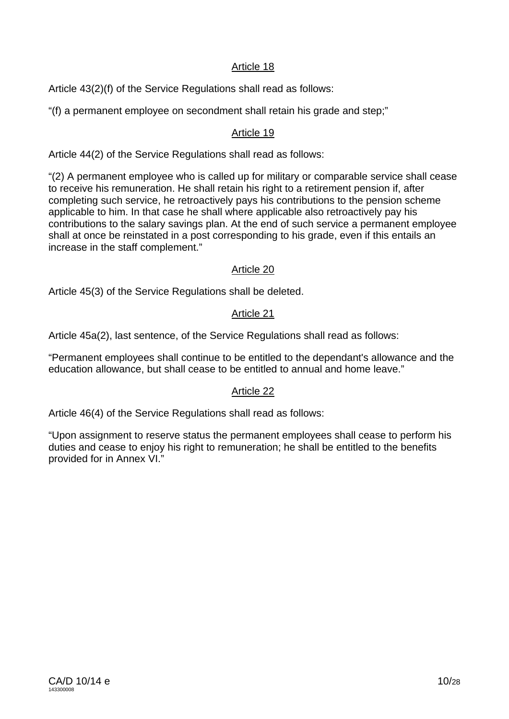Article 43(2)(f) of the Service Regulations shall read as follows:

"(f) a permanent employee on secondment shall retain his grade and step;"

## Article 19

Article 44(2) of the Service Regulations shall read as follows:

"(2) A permanent employee who is called up for military or comparable service shall cease to receive his remuneration. He shall retain his right to a retirement pension if, after completing such service, he retroactively pays his contributions to the pension scheme applicable to him. In that case he shall where applicable also retroactively pay his contributions to the salary savings plan. At the end of such service a permanent employee shall at once be reinstated in a post corresponding to his grade, even if this entails an increase in the staff complement."

## Article 20

Article 45(3) of the Service Regulations shall be deleted.

## Article 21

Article 45a(2), last sentence, of the Service Regulations shall read as follows:

"Permanent employees shall continue to be entitled to the dependant's allowance and the education allowance, but shall cease to be entitled to annual and home leave."

## Article 22

Article 46(4) of the Service Regulations shall read as follows:

"Upon assignment to reserve status the permanent employees shall cease to perform his duties and cease to enjoy his right to remuneration; he shall be entitled to the benefits provided for in Annex VI."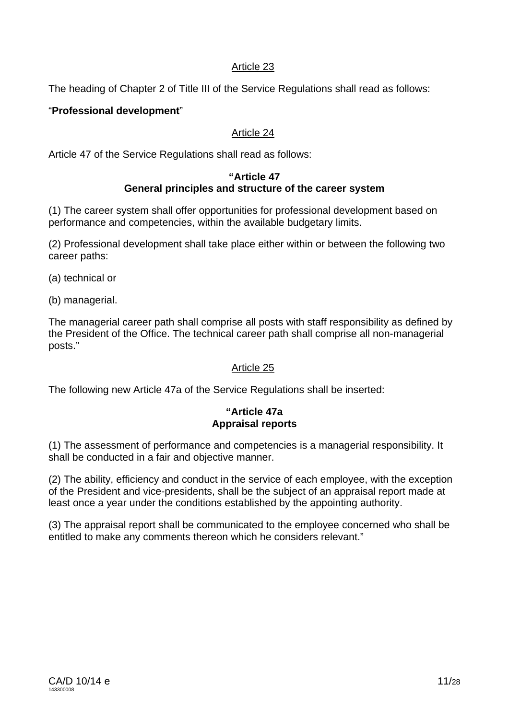The heading of Chapter 2 of Title III of the Service Regulations shall read as follows:

## "**Professional development**"

## Article 24

Article 47 of the Service Regulations shall read as follows:

#### **"Article 47 General principles and structure of the career system**

(1) The career system shall offer opportunities for professional development based on performance and competencies, within the available budgetary limits.

(2) Professional development shall take place either within or between the following two career paths:

- (a) technical or
- (b) managerial.

The managerial career path shall comprise all posts with staff responsibility as defined by the President of the Office. The technical career path shall comprise all non-managerial posts."

#### Article 25

The following new Article 47a of the Service Regulations shall be inserted:

#### **"Article 47a Appraisal reports**

(1) The assessment of performance and competencies is a managerial responsibility. It shall be conducted in a fair and objective manner.

(2) The ability, efficiency and conduct in the service of each employee, with the exception of the President and vice-presidents, shall be the subject of an appraisal report made at least once a year under the conditions established by the appointing authority.

(3) The appraisal report shall be communicated to the employee concerned who shall be entitled to make any comments thereon which he considers relevant."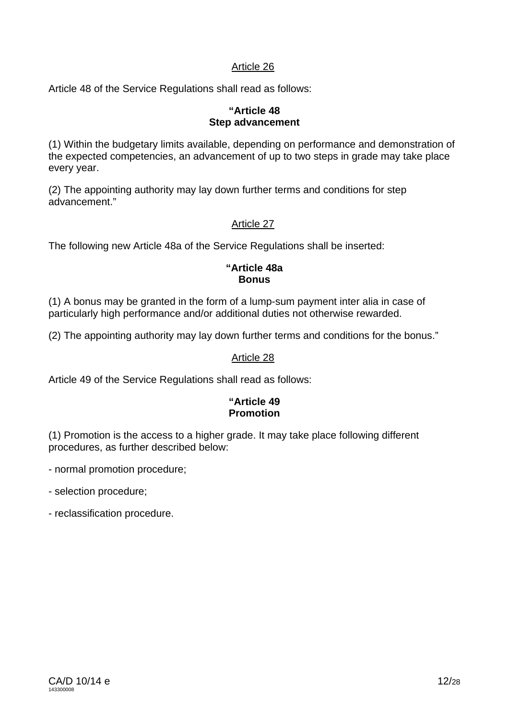Article 48 of the Service Regulations shall read as follows:

#### **"Article 48 Step advancement**

(1) Within the budgetary limits available, depending on performance and demonstration of the expected competencies, an advancement of up to two steps in grade may take place every year.

(2) The appointing authority may lay down further terms and conditions for step advancement."

## Article 27

The following new Article 48a of the Service Regulations shall be inserted:

#### **"Article 48a Bonus**

(1) A bonus may be granted in the form of a lump-sum payment inter alia in case of particularly high performance and/or additional duties not otherwise rewarded.

(2) The appointing authority may lay down further terms and conditions for the bonus."

#### Article 28

Article 49 of the Service Regulations shall read as follows:

#### **"Article 49 Promotion**

(1) Promotion is the access to a higher grade. It may take place following different procedures, as further described below:

- normal promotion procedure;

- selection procedure;
- reclassification procedure.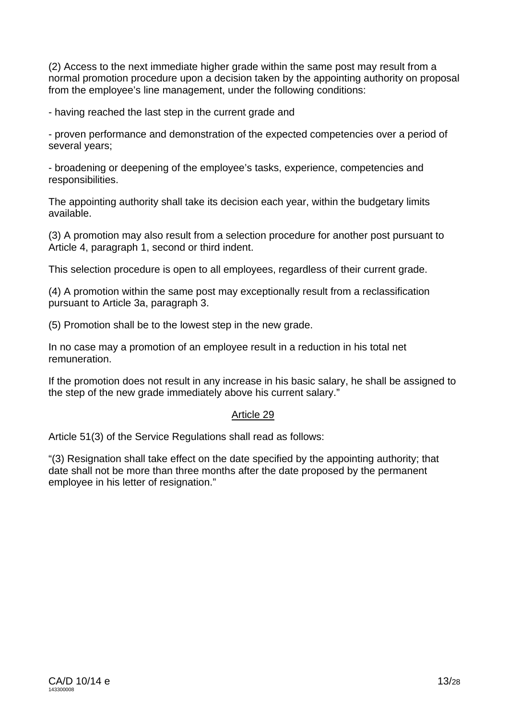(2) Access to the next immediate higher grade within the same post may result from a normal promotion procedure upon a decision taken by the appointing authority on proposal from the employee's line management, under the following conditions:

- having reached the last step in the current grade and

- proven performance and demonstration of the expected competencies over a period of several years;

- broadening or deepening of the employee's tasks, experience, competencies and responsibilities.

The appointing authority shall take its decision each year, within the budgetary limits available.

(3) A promotion may also result from a selection procedure for another post pursuant to Article 4, paragraph 1, second or third indent.

This selection procedure is open to all employees, regardless of their current grade.

(4) A promotion within the same post may exceptionally result from a reclassification pursuant to Article 3a, paragraph 3.

(5) Promotion shall be to the lowest step in the new grade.

In no case may a promotion of an employee result in a reduction in his total net remuneration.

If the promotion does not result in any increase in his basic salary, he shall be assigned to the step of the new grade immediately above his current salary."

## Article 29

Article 51(3) of the Service Regulations shall read as follows:

"(3) Resignation shall take effect on the date specified by the appointing authority; that date shall not be more than three months after the date proposed by the permanent employee in his letter of resignation."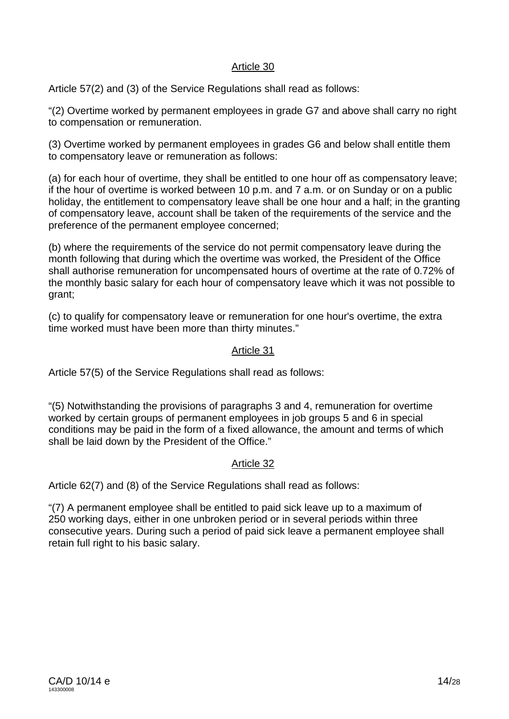Article 57(2) and (3) of the Service Regulations shall read as follows:

"(2) Overtime worked by permanent employees in grade G7 and above shall carry no right to compensation or remuneration.

(3) Overtime worked by permanent employees in grades G6 and below shall entitle them to compensatory leave or remuneration as follows:

(a) for each hour of overtime, they shall be entitled to one hour off as compensatory leave; if the hour of overtime is worked between 10 p.m. and 7 a.m. or on Sunday or on a public holiday, the entitlement to compensatory leave shall be one hour and a half; in the granting of compensatory leave, account shall be taken of the requirements of the service and the preference of the permanent employee concerned;

(b) where the requirements of the service do not permit compensatory leave during the month following that during which the overtime was worked, the President of the Office shall authorise remuneration for uncompensated hours of overtime at the rate of 0.72% of the monthly basic salary for each hour of compensatory leave which it was not possible to grant;

(c) to qualify for compensatory leave or remuneration for one hour's overtime, the extra time worked must have been more than thirty minutes."

## Article 31

Article 57(5) of the Service Regulations shall read as follows:

"(5) Notwithstanding the provisions of paragraphs 3 and 4, remuneration for overtime worked by certain groups of permanent employees in job groups 5 and 6 in special conditions may be paid in the form of a fixed allowance, the amount and terms of which shall be laid down by the President of the Office."

## Article 32

Article 62(7) and (8) of the Service Regulations shall read as follows:

"(7) A permanent employee shall be entitled to paid sick leave up to a maximum of 250 working days, either in one unbroken period or in several periods within three consecutive years. During such a period of paid sick leave a permanent employee shall retain full right to his basic salary.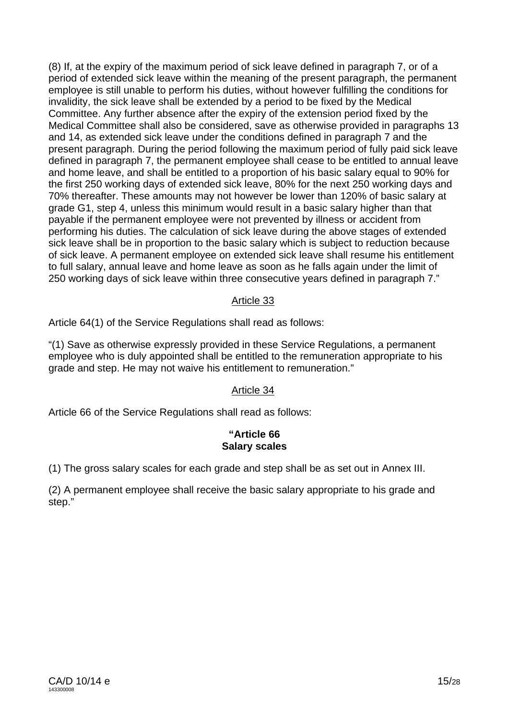(8) If, at the expiry of the maximum period of sick leave defined in paragraph 7, or of a period of extended sick leave within the meaning of the present paragraph, the permanent employee is still unable to perform his duties, without however fulfilling the conditions for invalidity, the sick leave shall be extended by a period to be fixed by the Medical Committee. Any further absence after the expiry of the extension period fixed by the Medical Committee shall also be considered, save as otherwise provided in paragraphs 13 and 14, as extended sick leave under the conditions defined in paragraph 7 and the present paragraph. During the period following the maximum period of fully paid sick leave defined in paragraph 7, the permanent employee shall cease to be entitled to annual leave and home leave, and shall be entitled to a proportion of his basic salary equal to 90% for the first 250 working days of extended sick leave, 80% for the next 250 working days and 70% thereafter. These amounts may not however be lower than 120% of basic salary at grade G1, step 4, unless this minimum would result in a basic salary higher than that payable if the permanent employee were not prevented by illness or accident from performing his duties. The calculation of sick leave during the above stages of extended sick leave shall be in proportion to the basic salary which is subject to reduction because of sick leave. A permanent employee on extended sick leave shall resume his entitlement to full salary, annual leave and home leave as soon as he falls again under the limit of 250 working days of sick leave within three consecutive years defined in paragraph 7."

#### Article 33

Article 64(1) of the Service Regulations shall read as follows:

"(1) Save as otherwise expressly provided in these Service Regulations, a permanent employee who is duly appointed shall be entitled to the remuneration appropriate to his grade and step. He may not waive his entitlement to remuneration."

## Article 34

Article 66 of the Service Regulations shall read as follows:

## **"Article 66 Salary scales**

(1) The gross salary scales for each grade and step shall be as set out in Annex III.

(2) A permanent employee shall receive the basic salary appropriate to his grade and step."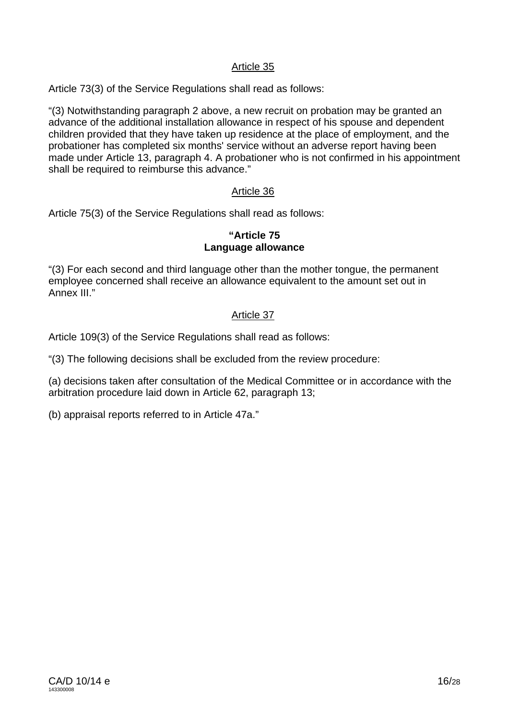Article 73(3) of the Service Regulations shall read as follows:

"(3) Notwithstanding paragraph 2 above, a new recruit on probation may be granted an advance of the additional installation allowance in respect of his spouse and dependent children provided that they have taken up residence at the place of employment, and the probationer has completed six months' service without an adverse report having been made under Article 13, paragraph 4. A probationer who is not confirmed in his appointment shall be required to reimburse this advance."

## Article 36

Article 75(3) of the Service Regulations shall read as follows:

## **"Article 75 Language allowance**

"(3) For each second and third language other than the mother tongue, the permanent employee concerned shall receive an allowance equivalent to the amount set out in Annex III."

## Article 37

Article 109(3) of the Service Regulations shall read as follows:

"(3) The following decisions shall be excluded from the review procedure:

(a) decisions taken after consultation of the Medical Committee or in accordance with the arbitration procedure laid down in Article 62, paragraph 13;

(b) appraisal reports referred to in Article 47a."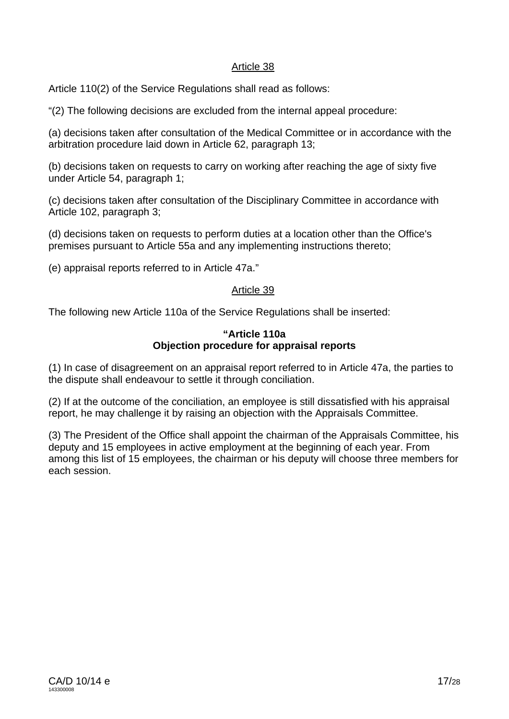Article 110(2) of the Service Regulations shall read as follows:

"(2) The following decisions are excluded from the internal appeal procedure:

(a) decisions taken after consultation of the Medical Committee or in accordance with the arbitration procedure laid down in Article 62, paragraph 13;

(b) decisions taken on requests to carry on working after reaching the age of sixty five under Article 54, paragraph 1;

(c) decisions taken after consultation of the Disciplinary Committee in accordance with Article 102, paragraph 3;

(d) decisions taken on requests to perform duties at a location other than the Office's premises pursuant to Article 55a and any implementing instructions thereto;

(e) appraisal reports referred to in Article 47a."

## Article 39

The following new Article 110a of the Service Regulations shall be inserted:

#### **"Article 110a Objection procedure for appraisal reports**

(1) In case of disagreement on an appraisal report referred to in Article 47a, the parties to the dispute shall endeavour to settle it through conciliation.

(2) If at the outcome of the conciliation, an employee is still dissatisfied with his appraisal report, he may challenge it by raising an objection with the Appraisals Committee.

(3) The President of the Office shall appoint the chairman of the Appraisals Committee, his deputy and 15 employees in active employment at the beginning of each year. From among this list of 15 employees, the chairman or his deputy will choose three members for each session.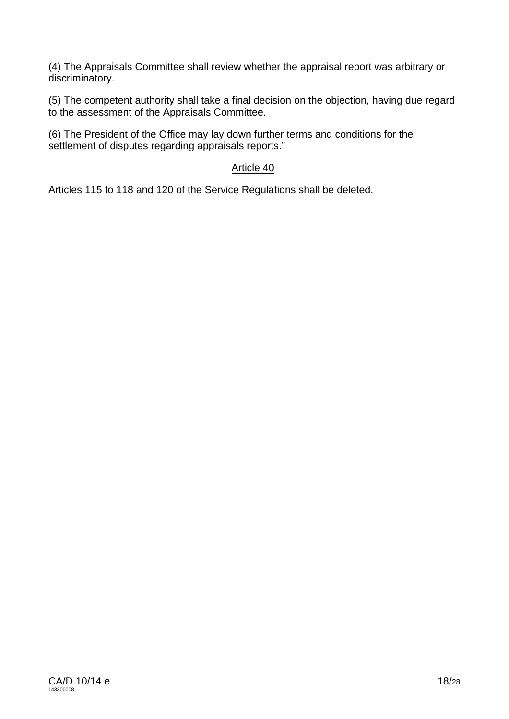(4) The Appraisals Committee shall review whether the appraisal report was arbitrary or discriminatory.

(5) The competent authority shall take a final decision on the objection, having due regard to the assessment of the Appraisals Committee.

(6) The President of the Office may lay down further terms and conditions for the settlement of disputes regarding appraisals reports."

## Article 40

Articles 115 to 118 and 120 of the Service Regulations shall be deleted.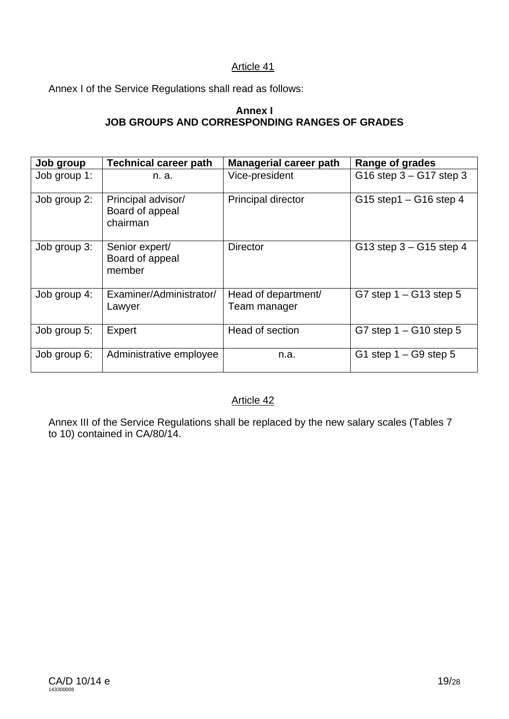Annex I of the Service Regulations shall read as follows:

## **Annex I JOB GROUPS AND CORRESPONDING RANGES OF GRADES**

| Job group    | <b>Technical career path</b>                      | <b>Managerial career path</b>       | Range of grades            |
|--------------|---------------------------------------------------|-------------------------------------|----------------------------|
| Job group 1: | n. a.                                             | Vice-president                      | G16 step $3 - G17$ step 3  |
| Job group 2: | Principal advisor/<br>Board of appeal<br>chairman | Principal director                  | $G15$ step1 – $G16$ step 4 |
| Job group 3: | Senior expert/<br>Board of appeal<br>member       | <b>Director</b>                     | G13 step $3 - G15$ step 4  |
| Job group 4: | Examiner/Administrator/<br>Lawyer                 | Head of department/<br>Team manager | G7 step $1 - G13$ step 5   |
| Job group 5: | Expert                                            | Head of section                     | G7 step $1 - G10$ step 5   |
| Job group 6: | Administrative employee                           | n.a.                                | G1 step $1 - G9$ step 5    |

## Article 42

Annex III of the Service Regulations shall be replaced by the new salary scales (Tables 7 to 10) contained in CA/80/14.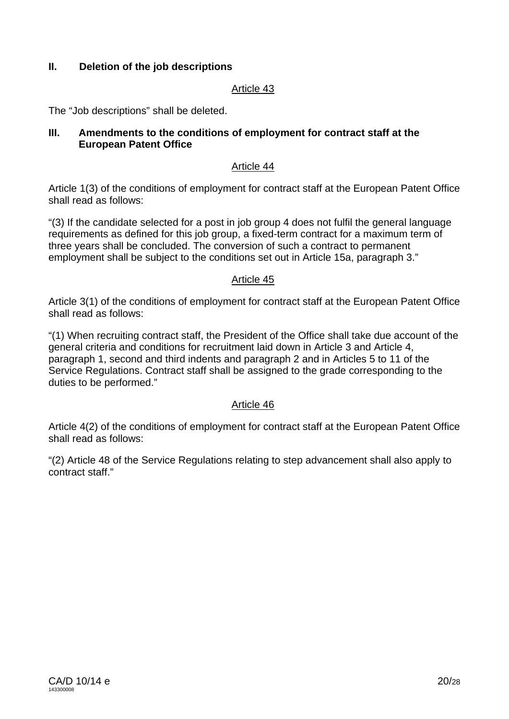## **II. Deletion of the job descriptions**

#### Article 43

The "Job descriptions" shall be deleted.

#### **III. Amendments to the conditions of employment for contract staff at the European Patent Office**

#### Article 44

Article 1(3) of the conditions of employment for contract staff at the European Patent Office shall read as follows:

"(3) If the candidate selected for a post in job group 4 does not fulfil the general language requirements as defined for this job group, a fixed-term contract for a maximum term of three years shall be concluded. The conversion of such a contract to permanent employment shall be subject to the conditions set out in Article 15a, paragraph 3."

#### Article 45

Article 3(1) of the conditions of employment for contract staff at the European Patent Office shall read as follows:

"(1) When recruiting contract staff, the President of the Office shall take due account of the general criteria and conditions for recruitment laid down in Article 3 and Article 4, paragraph 1, second and third indents and paragraph 2 and in Articles 5 to 11 of the Service Regulations. Contract staff shall be assigned to the grade corresponding to the duties to be performed."

## Article 46

Article 4(2) of the conditions of employment for contract staff at the European Patent Office shall read as follows:

"(2) Article 48 of the Service Regulations relating to step advancement shall also apply to contract staff."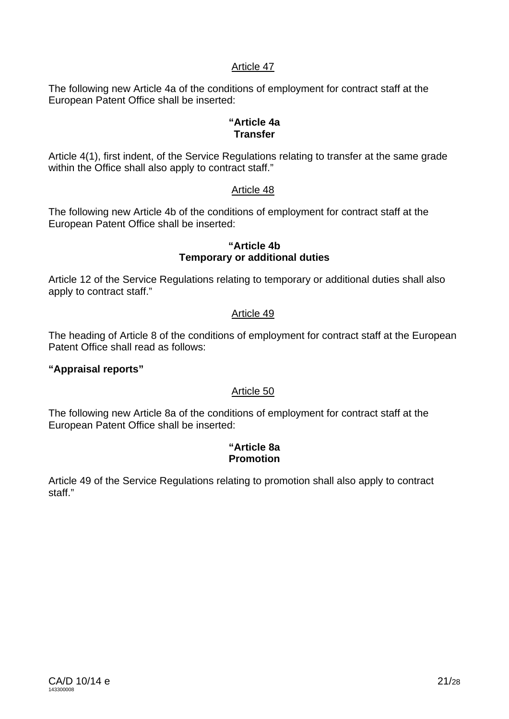The following new Article 4a of the conditions of employment for contract staff at the European Patent Office shall be inserted:

#### **"Article 4a Transfer**

Article 4(1), first indent, of the Service Regulations relating to transfer at the same grade within the Office shall also apply to contract staff."

## Article 48

The following new Article 4b of the conditions of employment for contract staff at the European Patent Office shall be inserted:

#### **"Article 4b Temporary or additional duties**

Article 12 of the Service Regulations relating to temporary or additional duties shall also apply to contract staff."

## Article 49

The heading of Article 8 of the conditions of employment for contract staff at the European Patent Office shall read as follows:

## **"Appraisal reports"**

#### Article 50

The following new Article 8a of the conditions of employment for contract staff at the European Patent Office shall be inserted:

#### **"Article 8a Promotion**

Article 49 of the Service Regulations relating to promotion shall also apply to contract staff<sup>"</sup>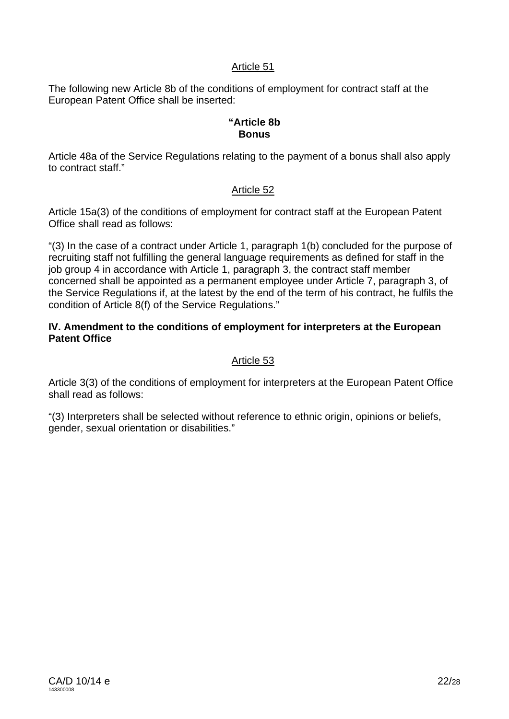The following new Article 8b of the conditions of employment for contract staff at the European Patent Office shall be inserted:

#### **"Article 8b Bonus**

Article 48a of the Service Regulations relating to the payment of a bonus shall also apply to contract staff."

## Article 52

Article 15a(3) of the conditions of employment for contract staff at the European Patent Office shall read as follows:

"(3) In the case of a contract under Article 1, paragraph 1(b) concluded for the purpose of recruiting staff not fulfilling the general language requirements as defined for staff in the job group 4 in accordance with Article 1, paragraph 3, the contract staff member concerned shall be appointed as a permanent employee under Article 7, paragraph 3, of the Service Regulations if, at the latest by the end of the term of his contract, he fulfils the condition of Article 8(f) of the Service Regulations."

#### **IV. Amendment to the conditions of employment for interpreters at the European Patent Office**

#### Article 53

Article 3(3) of the conditions of employment for interpreters at the European Patent Office shall read as follows:

"(3) Interpreters shall be selected without reference to ethnic origin, opinions or beliefs, gender, sexual orientation or disabilities."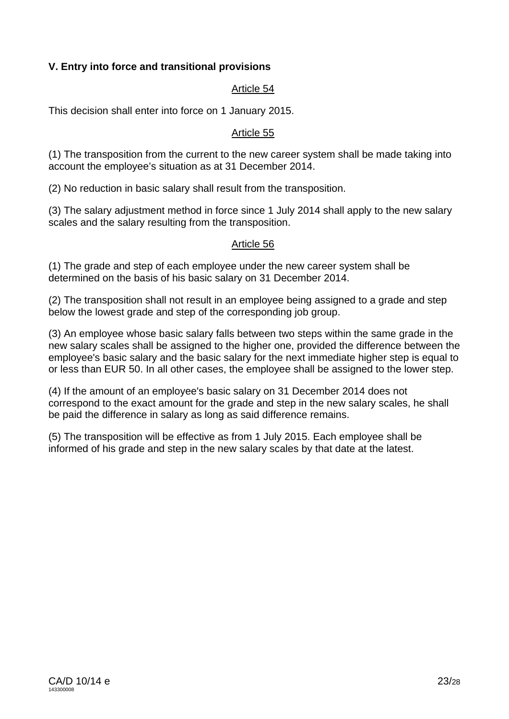## **V. Entry into force and transitional provisions**

## Article 54

This decision shall enter into force on 1 January 2015.

#### Article 55

(1) The transposition from the current to the new career system shall be made taking into account the employee's situation as at 31 December 2014.

(2) No reduction in basic salary shall result from the transposition.

(3) The salary adjustment method in force since 1 July 2014 shall apply to the new salary scales and the salary resulting from the transposition.

## Article 56

(1) The grade and step of each employee under the new career system shall be determined on the basis of his basic salary on 31 December 2014.

(2) The transposition shall not result in an employee being assigned to a grade and step below the lowest grade and step of the corresponding job group.

(3) An employee whose basic salary falls between two steps within the same grade in the new salary scales shall be assigned to the higher one, provided the difference between the employee's basic salary and the basic salary for the next immediate higher step is equal to or less than EUR 50. In all other cases, the employee shall be assigned to the lower step.

(4) If the amount of an employee's basic salary on 31 December 2014 does not correspond to the exact amount for the grade and step in the new salary scales, he shall be paid the difference in salary as long as said difference remains.

(5) The transposition will be effective as from 1 July 2015. Each employee shall be informed of his grade and step in the new salary scales by that date at the latest.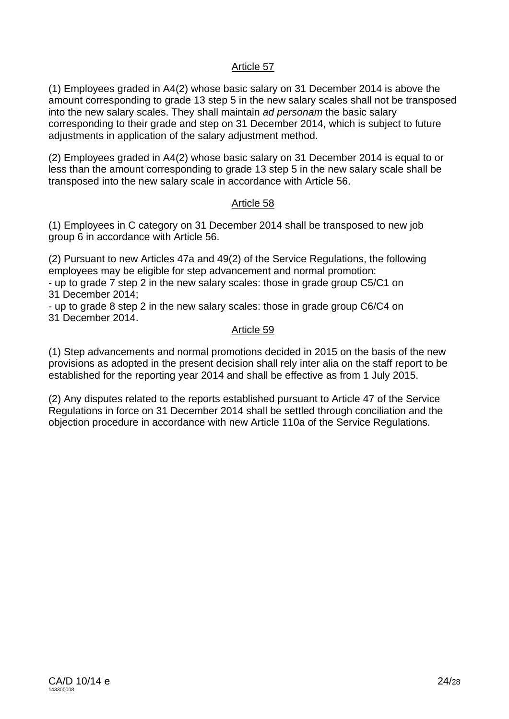(1) Employees graded in A4(2) whose basic salary on 31 December 2014 is above the amount corresponding to grade 13 step 5 in the new salary scales shall not be transposed into the new salary scales. They shall maintain *ad personam* the basic salary corresponding to their grade and step on 31 December 2014, which is subject to future adjustments in application of the salary adjustment method.

(2) Employees graded in A4(2) whose basic salary on 31 December 2014 is equal to or less than the amount corresponding to grade 13 step 5 in the new salary scale shall be transposed into the new salary scale in accordance with Article 56.

#### Article 58

(1) Employees in C category on 31 December 2014 shall be transposed to new job group 6 in accordance with Article 56.

(2) Pursuant to new Articles 47a and 49(2) of the Service Regulations, the following employees may be eligible for step advancement and normal promotion:

- up to grade 7 step 2 in the new salary scales: those in grade group C5/C1 on 31 December 2014;

- up to grade 8 step 2 in the new salary scales: those in grade group C6/C4 on 31 December 2014.

#### Article 59

(1) Step advancements and normal promotions decided in 2015 on the basis of the new provisions as adopted in the present decision shall rely inter alia on the staff report to be established for the reporting year 2014 and shall be effective as from 1 July 2015.

(2) Any disputes related to the reports established pursuant to Article 47 of the Service Regulations in force on 31 December 2014 shall be settled through conciliation and the objection procedure in accordance with new Article 110a of the Service Regulations.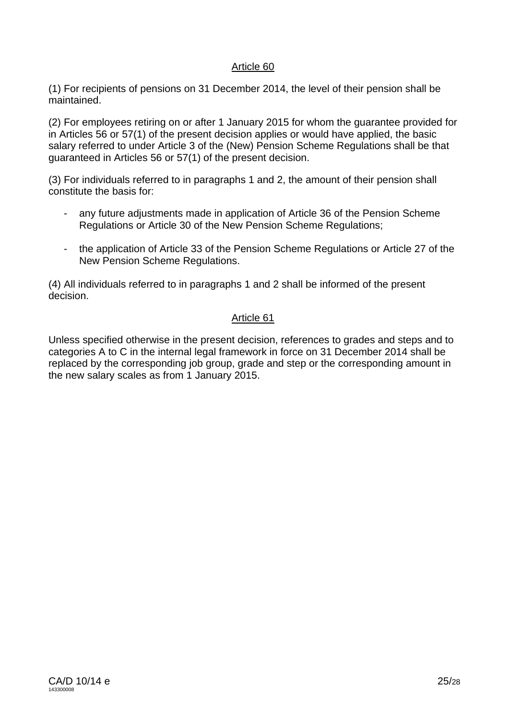(1) For recipients of pensions on 31 December 2014, the level of their pension shall be maintained.

(2) For employees retiring on or after 1 January 2015 for whom the guarantee provided for in Articles 56 or 57(1) of the present decision applies or would have applied, the basic salary referred to under Article 3 of the (New) Pension Scheme Regulations shall be that guaranteed in Articles 56 or 57(1) of the present decision.

(3) For individuals referred to in paragraphs 1 and 2, the amount of their pension shall constitute the basis for:

- any future adjustments made in application of Article 36 of the Pension Scheme Regulations or Article 30 of the New Pension Scheme Regulations;
- the application of Article 33 of the Pension Scheme Regulations or Article 27 of the New Pension Scheme Regulations.

(4) All individuals referred to in paragraphs 1 and 2 shall be informed of the present decision.

## Article 61

Unless specified otherwise in the present decision, references to grades and steps and to categories A to C in the internal legal framework in force on 31 December 2014 shall be replaced by the corresponding job group, grade and step or the corresponding amount in the new salary scales as from 1 January 2015.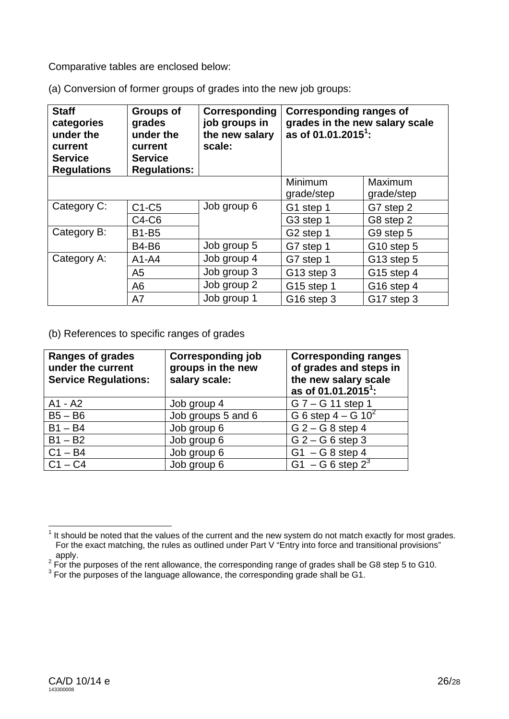Comparative tables are enclosed below:

(a) Conversion of former groups of grades into the new job groups:

| <b>Staff</b><br>categories<br>under the<br>current<br><b>Service</b><br><b>Regulations</b> | <b>Groups of</b><br>grades<br>under the<br>current<br><b>Service</b><br><b>Regulations:</b> | Corresponding<br>job groups in<br>the new salary<br>scale: | <b>Corresponding ranges of</b><br>grades in the new salary scale<br>as of 01.01.2015 <sup>1</sup> : |                       |
|--------------------------------------------------------------------------------------------|---------------------------------------------------------------------------------------------|------------------------------------------------------------|-----------------------------------------------------------------------------------------------------|-----------------------|
|                                                                                            |                                                                                             |                                                            | Minimum<br>grade/step                                                                               | Maximum<br>grade/step |
| Category C:                                                                                | $C1-C5$                                                                                     | Job group 6                                                | G1 step 1                                                                                           | G7 step 2             |
|                                                                                            | C4-C6                                                                                       |                                                            | G3 step 1                                                                                           | G8 step 2             |
| Category B:                                                                                | <b>B1-B5</b>                                                                                |                                                            | G <sub>2</sub> step 1                                                                               | G9 step 5             |
|                                                                                            | <b>B4-B6</b>                                                                                | Job group 5                                                | G7 step 1                                                                                           | G10 step 5            |
| Category A:                                                                                | $A1 - A4$                                                                                   | Job group 4                                                | G7 step 1                                                                                           | G13 step 5            |
|                                                                                            | A <sub>5</sub>                                                                              | Job group 3                                                | G13 step 3                                                                                          | G15 step 4            |
|                                                                                            | A <sub>6</sub>                                                                              | Job group 2                                                | G15 step 1                                                                                          | G16 step 4            |
|                                                                                            | A7                                                                                          | Job group 1                                                | G16 step 3                                                                                          | G17 step 3            |

(b) References to specific ranges of grades

| <b>Ranges of grades</b><br>under the current<br><b>Service Regulations:</b> | <b>Corresponding job</b><br>groups in the new<br>salary scale: | <b>Corresponding ranges</b><br>of grades and steps in<br>the new salary scale<br>as of 01.01.2015 <sup>1</sup> : |
|-----------------------------------------------------------------------------|----------------------------------------------------------------|------------------------------------------------------------------------------------------------------------------|
| A1 - A2                                                                     | Job group 4                                                    | $G 7 - G 11$ step 1                                                                                              |
| $B5 - B6$                                                                   | Job groups 5 and 6                                             | G 6 step $4 - G 10^2$                                                                                            |
| $B1 - B4$                                                                   | Job group 6                                                    | $G$ 2 – $G$ 8 step 4                                                                                             |
| $B1 - B2$                                                                   | Job group 6                                                    | $G$ 2 – $G$ 6 step 3                                                                                             |
| $C1 - B4$                                                                   | Job group 6                                                    | $G1 - G8$ step 4                                                                                                 |
| $C1 - C4$                                                                   | Job group 6                                                    | $G1 - G6$ step $2^3$                                                                                             |

**TELECT**<br><sup>1</sup> It should be noted that the values of the current and the new system do not match exactly for most grades. For the exact matching, the rules as outlined under Part V "Entry into force and transitional provisions" apply.<br><sup>2</sup> Fer the

For the purposes of the rent allowance, the corresponding range of grades shall be G8 step 5 to G10.<br><sup>3</sup> Fer the nurposes of the language ellowance, the corresponding grade shall be G1.

 $3$  For the purposes of the language allowance, the corresponding grade shall be G1.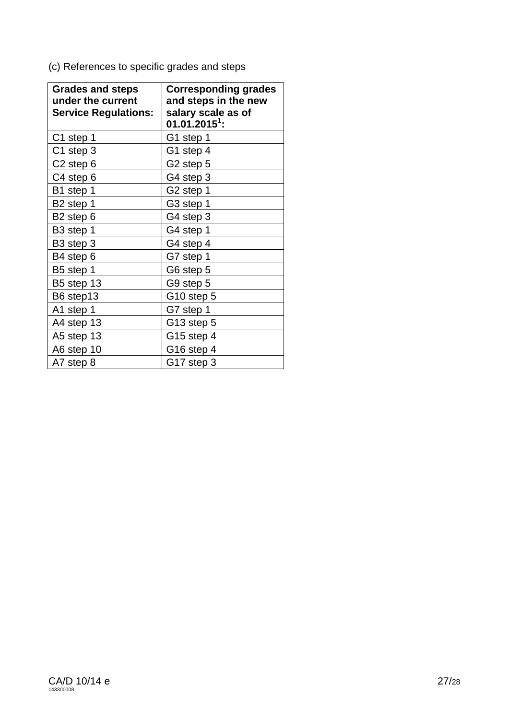(c) References to specific grades and steps

| <b>Grades and steps</b><br>under the current<br><b>Service Regulations:</b> | <b>Corresponding grades</b><br>and steps in the new<br>salary scale as of<br>$01.01.20151$ : |
|-----------------------------------------------------------------------------|----------------------------------------------------------------------------------------------|
| C1 step 1                                                                   | G1 step 1                                                                                    |
| C1 step 3                                                                   | G1 step 4                                                                                    |
| C <sub>2</sub> step 6                                                       | G2 step 5                                                                                    |
| C4 step 6                                                                   | G4 step 3                                                                                    |
| B1 step 1                                                                   | G2 step 1                                                                                    |
| B <sub>2</sub> step 1                                                       | G3 step 1                                                                                    |
| B <sub>2</sub> step 6                                                       | G4 step 3                                                                                    |
| B3 step 1                                                                   | G4 step 1                                                                                    |
| B <sub>3</sub> step 3                                                       | G4 step 4                                                                                    |
| B4 step 6                                                                   | G7 step 1                                                                                    |
| B5 step 1                                                                   | G6 step 5                                                                                    |
| B5 step 13                                                                  | G9 step 5                                                                                    |
| B6 step13                                                                   | G <sub>10</sub> step 5                                                                       |
| A1 step 1                                                                   | G7 step 1                                                                                    |
| A4 step 13                                                                  | G13 step 5                                                                                   |
| A5 step 13                                                                  | G15 step 4                                                                                   |
| A6 step 10                                                                  | G16 step 4                                                                                   |
| A7 step 8                                                                   | G17 step 3                                                                                   |